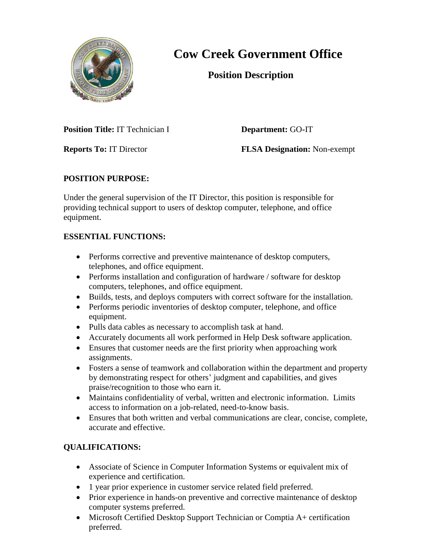

## **Cow Creek Government Office**

 **Position Description**

**Position Title:** IT Technician I **Department:** GO**-**IT

**Reports To:** IT Director **FLSA Designation:** Non-exempt

## **POSITION PURPOSE:**

Under the general supervision of the IT Director, this position is responsible for providing technical support to users of desktop computer, telephone, and office equipment.

## **ESSENTIAL FUNCTIONS:**

- Performs corrective and preventive maintenance of desktop computers, telephones, and office equipment.
- Performs installation and configuration of hardware / software for desktop computers, telephones, and office equipment.
- Builds, tests, and deploys computers with correct software for the installation.
- Performs periodic inventories of desktop computer, telephone, and office equipment.
- Pulls data cables as necessary to accomplish task at hand.
- Accurately documents all work performed in Help Desk software application.
- Ensures that customer needs are the first priority when approaching work assignments.
- Fosters a sense of teamwork and collaboration within the department and property by demonstrating respect for others' judgment and capabilities, and gives praise/recognition to those who earn it.
- Maintains confidentiality of verbal, written and electronic information. Limits access to information on a job-related, need-to-know basis.
- Ensures that both written and verbal communications are clear, concise, complete, accurate and effective.

## **QUALIFICATIONS:**

- Associate of Science in Computer Information Systems or equivalent mix of experience and certification.
- 1 year prior experience in customer service related field preferred.
- Prior experience in hands-on preventive and corrective maintenance of desktop computer systems preferred.
- Microsoft Certified Desktop Support Technician or Comptia A+ certification preferred.